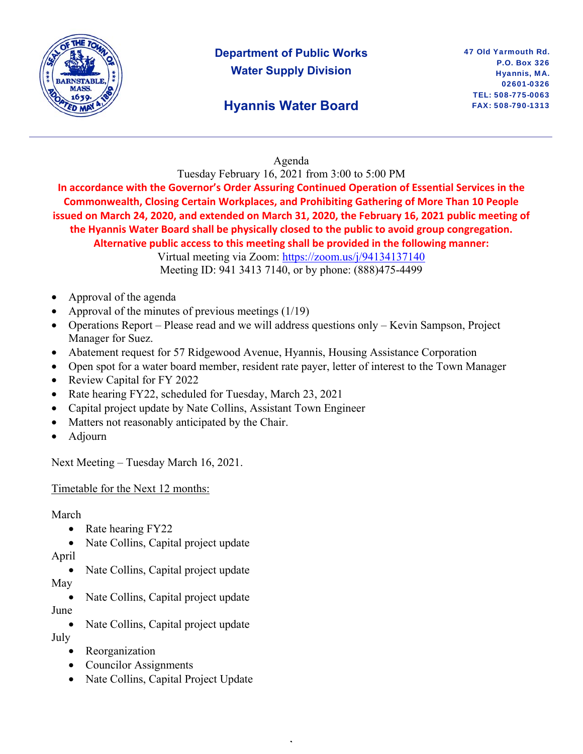

# **Department of Public Works Water Supply Division**

# **Hyannis Water Board**

### Agenda

Tuesday February 16, 2021 from 3:00 to 5:00 PM

**In accordance with the Governor's Order Assuring Continued Operation of Essential Services in the Commonwealth, Closing Certain Workplaces, and Prohibiting Gathering of More Than 10 People issued on March 24, 2020, and extended on March 31, 2020, the February 16, 2021 public meeting of the Hyannis Water Board shall be physically closed to the public to avoid group congregation. Alternative public access to this meeting shall be provided in the following manner:** 

Virtual meeting via Zoom: https://zoom.us/j/94134137140 Meeting ID: 941 3413 7140, or by phone: (888)475-4499

- Approval of the agenda
- Approval of the minutes of previous meetings (1/19)
- Operations Report Please read and we will address questions only Kevin Sampson, Project Manager for Suez.
- Abatement request for 57 Ridgewood Avenue, Hyannis, Housing Assistance Corporation
- Open spot for a water board member, resident rate payer, letter of interest to the Town Manager

,

- Review Capital for FY 2022
- Rate hearing FY22, scheduled for Tuesday, March 23, 2021
- Capital project update by Nate Collins, Assistant Town Engineer
- Matters not reasonably anticipated by the Chair.
- Adjourn

Next Meeting – Tuesday March 16, 2021.

Timetable for the Next 12 months:

#### March

- Rate hearing FY22
- Nate Collins, Capital project update
- April
- Nate Collins, Capital project update May
	- Nate Collins, Capital project update
- June
	- Nate Collins, Capital project update

July

- Reorganization
- Councilor Assignments
- Nate Collins, Capital Project Update